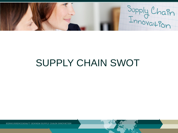Supply Chain

# SUPPLY CHAIN SWOT

KONKURRENCEKRAFT GENNEM SUPPLY CHAIN INNOVATION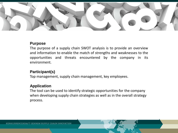

## **Purpose**

The purpose of a supply chain SWOT analysis is to provide an overview and information to enable the match of strengths and weaknesses to the opportunities and threats encountered by the company in its environment.

# **Participant(s)**

Top management, supply chain management, key employees.

# **Application**

The tool can be used to identify strategic opportunities for the company when developing supply chain strategies as well as in the overall strategy process.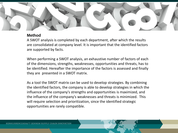

## **Method**

A SWOT analysis is completed by each department, after which the results are consolidated at company level. It is important that the identified factors are supported by facts.

When performing a SWOT analysis, an exhaustive number of factors of each of the dimensions, strengths, weaknesses, opportunities and threats, has to be identified. Hereafter the importance of the factors is assessed and finally they are presented in a SWOT matrix.

As a tool the SWOT matrix can be used to develop strategies. By combining the identified factors, the company is able to develop strategies in which the influence of the company's strengths and opportunities is maximized, and the influence of the company's weaknesses and threats is minimized. This will require selection and prioritization, since the identified strategic opportunities are rarely compatible.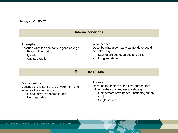#### *Supply chain SWOT*

| Internal conditions                         |                                            |
|---------------------------------------------|--------------------------------------------|
| <b>Strengths</b>                            | Weaknesses                                 |
| Describe what the company is good at, e.g.: | Describe what a company cannot do or could |
| Product knowledge                           | do better, e.g.:                           |
| $\overline{\phantom{a}}$                    | Lack of project resources and skills       |
| Quality                                     | $\overline{\phantom{a}}$                   |
| -                                           | Long lead-time                             |
| Capital situation                           | $\blacksquare$                             |

#### External conditions

#### **Opportunities**

Describe the factors of the environment that influence the company, e.g.:

- Global players become larger
- New legislation

#### **Threats**

Describe the factors of the environment that influence the company negatively, e.g.:

- Competitors have better functioning supply chain
- Single source